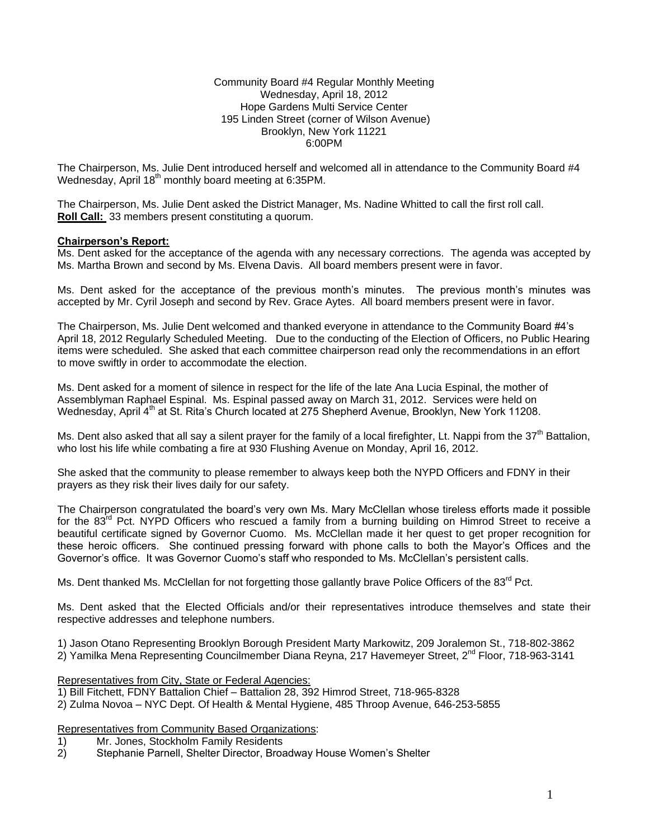Community Board #4 Regular Monthly Meeting Wednesday, April 18, 2012 Hope Gardens Multi Service Center 195 Linden Street (corner of Wilson Avenue) Brooklyn, New York 11221 6:00PM

The Chairperson, Ms. Julie Dent introduced herself and welcomed all in attendance to the Community Board #4 Wednesday, April 18<sup>th</sup> monthly board meeting at 6:35PM.

The Chairperson, Ms. Julie Dent asked the District Manager, Ms. Nadine Whitted to call the first roll call. **Roll Call:** 33 members present constituting a quorum.

#### **Chairperson's Report:**

Ms. Dent asked for the acceptance of the agenda with any necessary corrections. The agenda was accepted by Ms. Martha Brown and second by Ms. Elvena Davis. All board members present were in favor.

Ms. Dent asked for the acceptance of the previous month's minutes. The previous month's minutes was accepted by Mr. Cyril Joseph and second by Rev. Grace Aytes. All board members present were in favor.

The Chairperson, Ms. Julie Dent welcomed and thanked everyone in attendance to the Community Board #4's April 18, 2012 Regularly Scheduled Meeting. Due to the conducting of the Election of Officers, no Public Hearing items were scheduled. She asked that each committee chairperson read only the recommendations in an effort to move swiftly in order to accommodate the election.

Ms. Dent asked for a moment of silence in respect for the life of the late Ana Lucia Espinal, the mother of Assemblyman Raphael Espinal. Ms. Espinal passed away on March 31, 2012. Services were held on Wednesday, April 4<sup>th</sup> at St. Rita's Church located at 275 Shepherd Avenue, Brooklyn, New York 11208.

Ms. Dent also asked that all say a silent prayer for the family of a local firefighter, Lt. Nappi from the 37<sup>th</sup> Battalion, who lost his life while combating a fire at 930 Flushing Avenue on Monday, April 16, 2012.

She asked that the community to please remember to always keep both the NYPD Officers and FDNY in their prayers as they risk their lives daily for our safety.

The Chairperson congratulated the board's very own Ms. Mary McClellan whose tireless efforts made it possible for the 83<sup>rd</sup> Pct. NYPD Officers who rescued a family from a burning building on Himrod Street to receive a beautiful certificate signed by Governor Cuomo. Ms. McClellan made it her quest to get proper recognition for these heroic officers. She continued pressing forward with phone calls to both the Mayor's Offices and the Governor's office. It was Governor Cuomo's staff who responded to Ms. McClellan's persistent calls.

Ms. Dent thanked Ms. McClellan for not forgetting those gallantly brave Police Officers of the 83<sup>rd</sup> Pct.

Ms. Dent asked that the Elected Officials and/or their representatives introduce themselves and state their respective addresses and telephone numbers.

1) Jason Otano Representing Brooklyn Borough President Marty Markowitz, 209 Joralemon St., 718-802-3862 2) Yamilka Mena Representing Councilmember Diana Reyna, 217 Havemeyer Street, 2<sup>nd</sup> Floor, 718-963-3141

Representatives from City, State or Federal Agencies:

- 1) Bill Fitchett, FDNY Battalion Chief Battalion 28, 392 Himrod Street, 718-965-8328
- 2) Zulma Novoa NYC Dept. Of Health & Mental Hygiene, 485 Throop Avenue, 646-253-5855

Representatives from Community Based Organizations:

- 1) Mr. Jones, Stockholm Family Residents
- 2) Stephanie Parnell, Shelter Director, Broadway House Women's Shelter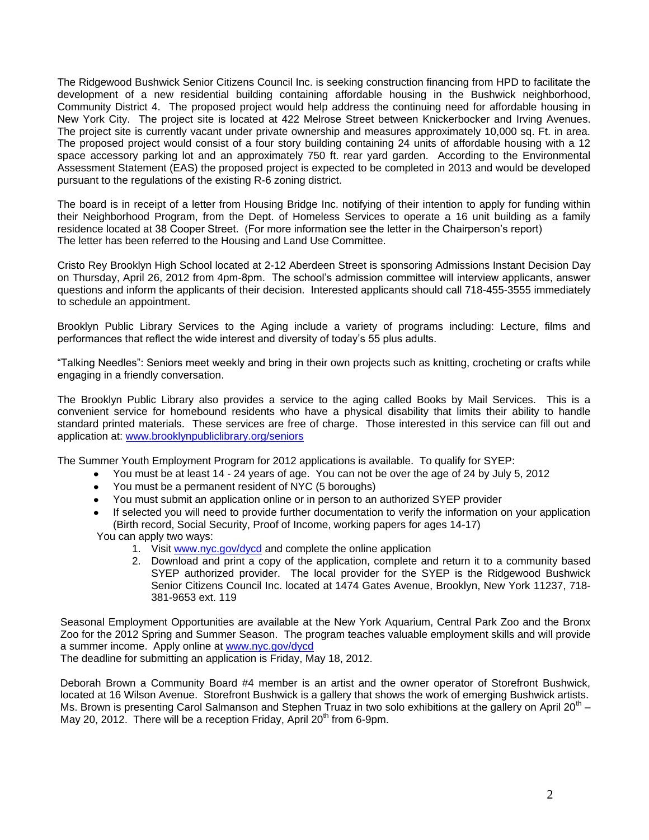The Ridgewood Bushwick Senior Citizens Council Inc. is seeking construction financing from HPD to facilitate the development of a new residential building containing affordable housing in the Bushwick neighborhood, Community District 4. The proposed project would help address the continuing need for affordable housing in New York City. The project site is located at 422 Melrose Street between Knickerbocker and Irving Avenues. The project site is currently vacant under private ownership and measures approximately 10,000 sq. Ft. in area. The proposed project would consist of a four story building containing 24 units of affordable housing with a 12 space accessory parking lot and an approximately 750 ft. rear yard garden. According to the Environmental Assessment Statement (EAS) the proposed project is expected to be completed in 2013 and would be developed pursuant to the regulations of the existing R-6 zoning district.

The board is in receipt of a letter from Housing Bridge Inc. notifying of their intention to apply for funding within their Neighborhood Program, from the Dept. of Homeless Services to operate a 16 unit building as a family residence located at 38 Cooper Street. (For more information see the letter in the Chairperson's report) The letter has been referred to the Housing and Land Use Committee.

Cristo Rey Brooklyn High School located at 2-12 Aberdeen Street is sponsoring Admissions Instant Decision Day on Thursday, April 26, 2012 from 4pm-8pm. The school's admission committee will interview applicants, answer questions and inform the applicants of their decision. Interested applicants should call 718-455-3555 immediately to schedule an appointment.

Brooklyn Public Library Services to the Aging include a variety of programs including: Lecture, films and performances that reflect the wide interest and diversity of today's 55 plus adults.

"Talking Needles": Seniors meet weekly and bring in their own projects such as knitting, crocheting or crafts while engaging in a friendly conversation.

The Brooklyn Public Library also provides a service to the aging called Books by Mail Services. This is a convenient service for homebound residents who have a physical disability that limits their ability to handle standard printed materials. These services are free of charge. Those interested in this service can fill out and application at: [www.brooklynpubliclibrary.org/seniors](http://www.brooklynpubliclibrary.org/seniors)

The Summer Youth Employment Program for 2012 applications is available. To qualify for SYEP:

- You must be at least 14 24 years of age. You can not be over the age of 24 by July 5, 2012
- You must be a permanent resident of NYC (5 boroughs)
- You must submit an application online or in person to an authorized SYEP provider
- If selected you will need to provide further documentation to verify the information on your application (Birth record, Social Security, Proof of Income, working papers for ages 14-17)

You can apply two ways:

- 1. Visit [www.nyc.gov/dycd](http://www.nyc.gov/dycd) and complete the online application
- 2. Download and print a copy of the application, complete and return it to a community based SYEP authorized provider. The local provider for the SYEP is the Ridgewood Bushwick Senior Citizens Council Inc. located at 1474 Gates Avenue, Brooklyn, New York 11237, 718- 381-9653 ext. 119

Seasonal Employment Opportunities are available at the New York Aquarium, Central Park Zoo and the Bronx Zoo for the 2012 Spring and Summer Season. The program teaches valuable employment skills and will provide a summer income. Apply online at [www.nyc.gov/dycd](http://www.nyc.gov/dycd)

The deadline for submitting an application is Friday, May 18, 2012.

Deborah Brown a Community Board #4 member is an artist and the owner operator of Storefront Bushwick, located at 16 Wilson Avenue. Storefront Bushwick is a gallery that shows the work of emerging Bushwick artists. Ms. Brown is presenting Carol Salmanson and Stephen Truaz in two solo exhibitions at the gallery on April 20<sup>th</sup> – May 20, 2012. There will be a reception Friday, April 20<sup>th</sup> from 6-9pm.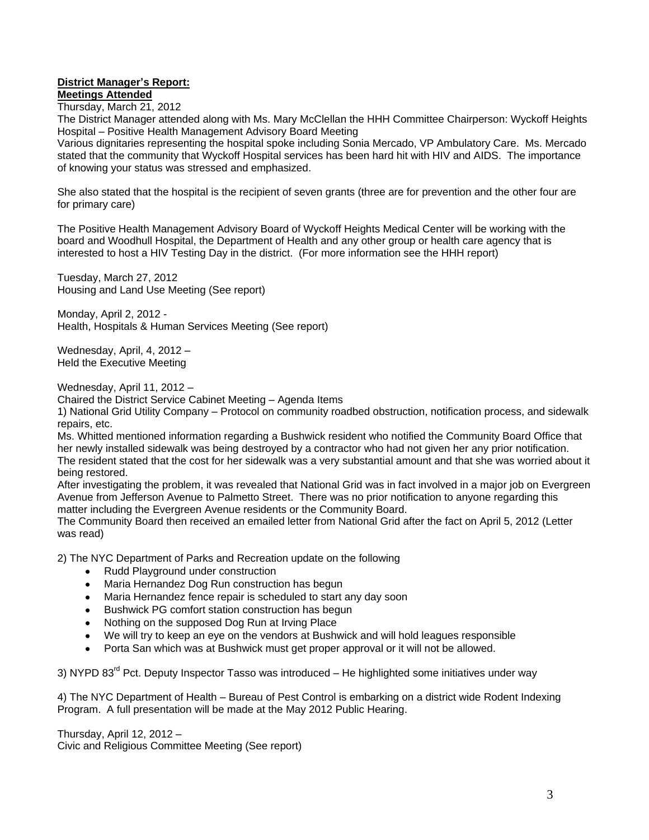# **District Manager's Report:**

**Meetings Attended**

Thursday, March 21, 2012

The District Manager attended along with Ms. Mary McClellan the HHH Committee Chairperson: Wyckoff Heights Hospital – Positive Health Management Advisory Board Meeting

Various dignitaries representing the hospital spoke including Sonia Mercado, VP Ambulatory Care. Ms. Mercado stated that the community that Wyckoff Hospital services has been hard hit with HIV and AIDS. The importance of knowing your status was stressed and emphasized.

She also stated that the hospital is the recipient of seven grants (three are for prevention and the other four are for primary care)

The Positive Health Management Advisory Board of Wyckoff Heights Medical Center will be working with the board and Woodhull Hospital, the Department of Health and any other group or health care agency that is interested to host a HIV Testing Day in the district. (For more information see the HHH report)

Tuesday, March 27, 2012 Housing and Land Use Meeting (See report)

Monday, April 2, 2012 - Health, Hospitals & Human Services Meeting (See report)

Wednesday, April, 4, 2012 – Held the Executive Meeting

Wednesday, April 11, 2012 –

Chaired the District Service Cabinet Meeting – Agenda Items

1) National Grid Utility Company – Protocol on community roadbed obstruction, notification process, and sidewalk repairs, etc.

Ms. Whitted mentioned information regarding a Bushwick resident who notified the Community Board Office that her newly installed sidewalk was being destroyed by a contractor who had not given her any prior notification. The resident stated that the cost for her sidewalk was a very substantial amount and that she was worried about it being restored.

After investigating the problem, it was revealed that National Grid was in fact involved in a major job on Evergreen Avenue from Jefferson Avenue to Palmetto Street. There was no prior notification to anyone regarding this matter including the Evergreen Avenue residents or the Community Board.

The Community Board then received an emailed letter from National Grid after the fact on April 5, 2012 (Letter was read)

2) The NYC Department of Parks and Recreation update on the following

- Rudd Playground under construction
- Maria Hernandez Dog Run construction has begun
- Maria Hernandez fence repair is scheduled to start any day soon
- Bushwick PG comfort station construction has begun
- Nothing on the supposed Dog Run at Irving Place
- We will try to keep an eye on the vendors at Bushwick and will hold leagues responsible
- Porta San which was at Bushwick must get proper approval or it will not be allowed.

3) NYPD 83<sup>rd</sup> Pct. Deputy Inspector Tasso was introduced – He highlighted some initiatives under way

4) The NYC Department of Health – Bureau of Pest Control is embarking on a district wide Rodent Indexing Program. A full presentation will be made at the May 2012 Public Hearing.

Thursday, April 12, 2012 – Civic and Religious Committee Meeting (See report)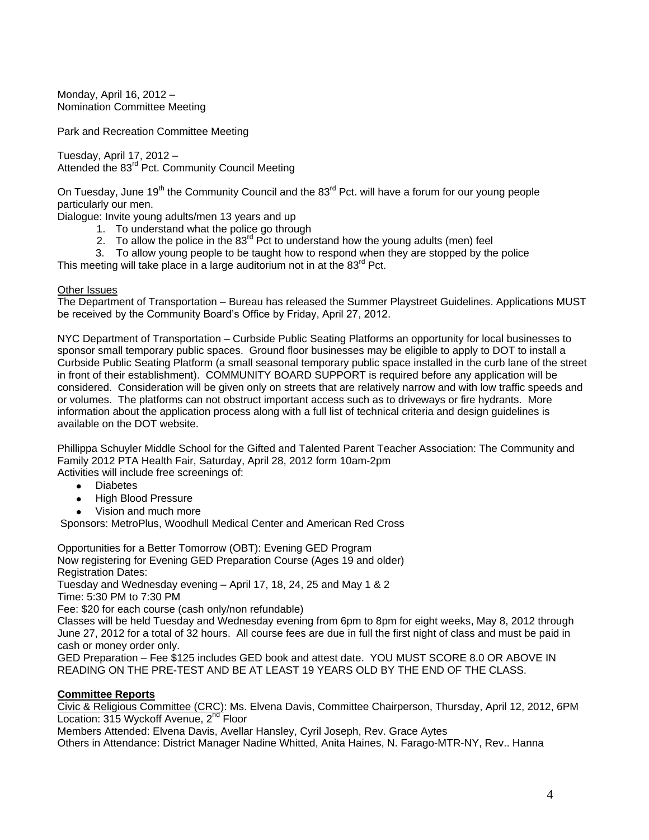Monday, April 16, 2012 – Nomination Committee Meeting

Park and Recreation Committee Meeting

Tuesday, April 17, 2012 – Attended the 83<sup>rd</sup> Pct. Community Council Meeting

On Tuesday, June 19<sup>th</sup> the Community Council and the 83<sup>rd</sup> Pct. will have a forum for our young people particularly our men.

Dialogue: Invite young adults/men 13 years and up

- 1. To understand what the police go through
- 2. To allow the police in the  $83^{rd}$  Pct to understand how the young adults (men) feel
- 3. To allow young people to be taught how to respond when they are stopped by the police

This meeting will take place in a large auditorium not in at the 83<sup>rd</sup> Pct.

#### Other Issues

The Department of Transportation – Bureau has released the Summer Playstreet Guidelines. Applications MUST be received by the Community Board's Office by Friday, April 27, 2012.

NYC Department of Transportation – Curbside Public Seating Platforms an opportunity for local businesses to sponsor small temporary public spaces. Ground floor businesses may be eligible to apply to DOT to install a Curbside Public Seating Platform (a small seasonal temporary public space installed in the curb lane of the street in front of their establishment). COMMUNITY BOARD SUPPORT is required before any application will be considered. Consideration will be given only on streets that are relatively narrow and with low traffic speeds and or volumes. The platforms can not obstruct important access such as to driveways or fire hydrants. More information about the application process along with a full list of technical criteria and design guidelines is available on the DOT website.

Phillippa Schuyler Middle School for the Gifted and Talented Parent Teacher Association: The Community and Family 2012 PTA Health Fair, Saturday, April 28, 2012 form 10am-2pm Activities will include free screenings of:

- Diabetes
- High Blood Pressure
- Vision and much more

Sponsors: MetroPlus, Woodhull Medical Center and American Red Cross

Opportunities for a Better Tomorrow (OBT): Evening GED Program Now registering for Evening GED Preparation Course (Ages 19 and older) Registration Dates:

Tuesday and Wednesday evening – April 17, 18, 24, 25 and May 1 & 2 Time: 5:30 PM to 7:30 PM

Fee: \$20 for each course (cash only/non refundable)

Classes will be held Tuesday and Wednesday evening from 6pm to 8pm for eight weeks, May 8, 2012 through June 27, 2012 for a total of 32 hours. All course fees are due in full the first night of class and must be paid in cash or money order only.

GED Preparation – Fee \$125 includes GED book and attest date. YOU MUST SCORE 8.0 OR ABOVE IN READING ON THE PRE-TEST AND BE AT LEAST 19 YEARS OLD BY THE END OF THE CLASS.

# **Committee Reports**

Civic & Religious Committee (CRC): Ms. Elvena Davis, Committee Chairperson, Thursday, April 12, 2012, 6PM Location: 315 Wyckoff Avenue, 2<sup>nd</sup> Floor

Members Attended: Elvena Davis, Avellar Hansley, Cyril Joseph, Rev. Grace Aytes

Others in Attendance: District Manager Nadine Whitted, Anita Haines, N. Farago-MTR-NY, Rev.. Hanna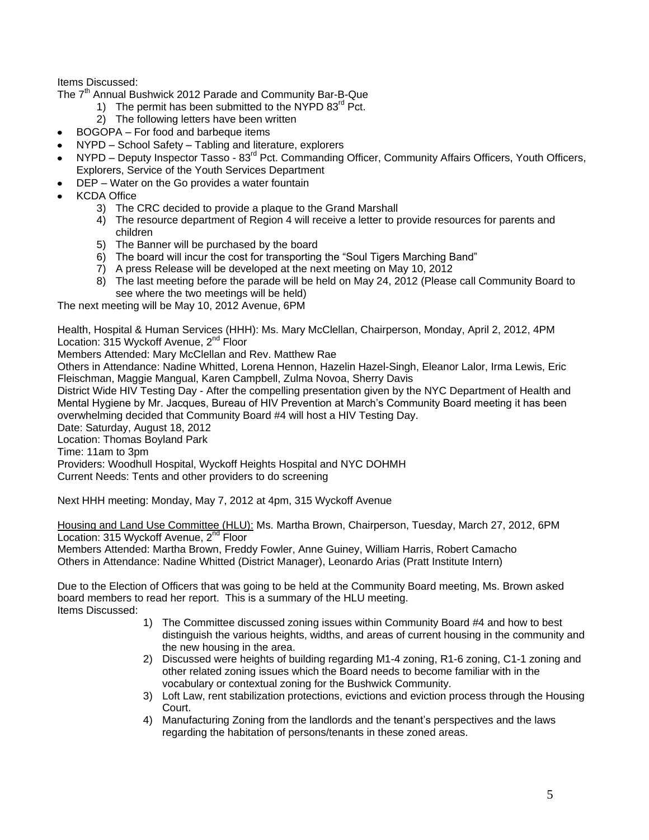Items Discussed:

The 7<sup>th</sup> Annual Bushwick 2012 Parade and Community Bar-B-Que

- 1) The permit has been submitted to the NYPD  $83^{rd}$  Pct.
- 2) The following letters have been written
- BOGOPA For food and barbeque items  $\bullet$
- NYPD School Safety Tabling and literature, explorers
- NYPD Deputy Inspector Tasso 83<sup>rd</sup> Pct. Commanding Officer, Community Affairs Officers, Youth Officers,  $\bullet$ Explorers, Service of the Youth Services Department
- DEP Water on the Go provides a water fountain
- KCDA Office
	- 3) The CRC decided to provide a plaque to the Grand Marshall
	- 4) The resource department of Region 4 will receive a letter to provide resources for parents and children
	- 5) The Banner will be purchased by the board
	- 6) The board will incur the cost for transporting the "Soul Tigers Marching Band"
	- 7) A press Release will be developed at the next meeting on May 10, 2012
	- 8) The last meeting before the parade will be held on May 24, 2012 (Please call Community Board to see where the two meetings will be held)

The next meeting will be May 10, 2012 Avenue, 6PM

Health, Hospital & Human Services (HHH): Ms. Mary McClellan, Chairperson, Monday, April 2, 2012, 4PM Location: 315 Wyckoff Avenue, 2<sup>nd</sup> Floor

Members Attended: Mary McClellan and Rev. Matthew Rae

Others in Attendance: Nadine Whitted, Lorena Hennon, Hazelin Hazel-Singh, Eleanor Lalor, Irma Lewis, Eric Fleischman, Maggie Mangual, Karen Campbell, Zulma Novoa, Sherry Davis

District Wide HIV Testing Day - After the compelling presentation given by the NYC Department of Health and Mental Hygiene by Mr. Jacques, Bureau of HIV Prevention at March's Community Board meeting it has been overwhelming decided that Community Board #4 will host a HIV Testing Day.

Date: Saturday, August 18, 2012

Location: Thomas Boyland Park

Time: 11am to 3pm

Providers: Woodhull Hospital, Wyckoff Heights Hospital and NYC DOHMH

Current Needs: Tents and other providers to do screening

Next HHH meeting: Monday, May 7, 2012 at 4pm, 315 Wyckoff Avenue

Housing and Land Use Committee (HLU): Ms. Martha Brown, Chairperson, Tuesday, March 27, 2012, 6PM Location: 315 Wyckoff Avenue, 2<sup>nd</sup> Floor

Members Attended: Martha Brown, Freddy Fowler, Anne Guiney, William Harris, Robert Camacho Others in Attendance: Nadine Whitted (District Manager), Leonardo Arias (Pratt Institute Intern)

Due to the Election of Officers that was going to be held at the Community Board meeting, Ms. Brown asked board members to read her report. This is a summary of the HLU meeting. Items Discussed:

- 1) The Committee discussed zoning issues within Community Board #4 and how to best distinguish the various heights, widths, and areas of current housing in the community and the new housing in the area.
- 2) Discussed were heights of building regarding M1-4 zoning, R1-6 zoning, C1-1 zoning and other related zoning issues which the Board needs to become familiar with in the vocabulary or contextual zoning for the Bushwick Community.
- 3) Loft Law, rent stabilization protections, evictions and eviction process through the Housing Court.
- 4) Manufacturing Zoning from the landlords and the tenant's perspectives and the laws regarding the habitation of persons/tenants in these zoned areas.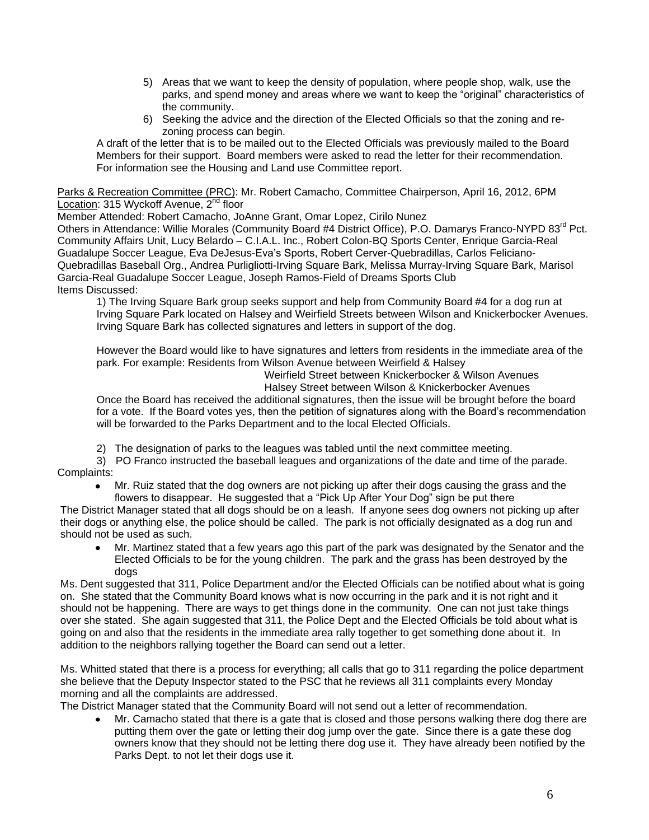- 5) Areas that we want to keep the density of population, where people shop, walk, use the parks, and spend money and areas where we want to keep the "original" characteristics of the community.
- 6) Seeking the advice and the direction of the Elected Officials so that the zoning and rezoning process can begin.

A draft of the letter that is to be mailed out to the Elected Officials was previously mailed to the Board Members for their support. Board members were asked to read the letter for their recommendation. For information see the Housing and Land use Committee report.

Parks & Recreation Committee (PRC): Mr. Robert Camacho, Committee Chairperson, April 16, 2012, 6PM Location: 315 Wyckoff Avenue, 2<sup>nd</sup> floor

Member Attended: Robert Camacho, JoAnne Grant, Omar Lopez, Cirilo Nunez

Others in Attendance: Willie Morales (Community Board #4 District Office), P.O. Damarys Franco-NYPD 83<sup>rd</sup> Pct. Community Affairs Unit, Lucy Belardo – C.I.A.L. Inc., Robert Colon-BQ Sports Center, Enrique Garcia-Real Guadalupe Soccer League, Eva DeJesus-Eva's Sports, Robert Cerver-Quebradillas, Carlos Feliciano-Quebradillas Baseball Org., Andrea Purligliotti-Irving Square Bark, Melissa Murray-Irving Square Bark, Marisol Garcia-Real Guadalupe Soccer League, Joseph Ramos-Field of Dreams Sports Club Items Discussed:

1) The Irving Square Bark group seeks support and help from Community Board #4 for a dog run at Irving Square Park located on Halsey and Weirfield Streets between Wilson and Knickerbocker Avenues. Irving Square Bark has collected signatures and letters in support of the dog.

However the Board would like to have signatures and letters from residents in the immediate area of the park. For example: Residents from Wilson Avenue between Weirfield & Halsey

Weirfield Street between Knickerbocker & Wilson Avenues

Halsey Street between Wilson & Knickerbocker Avenues

Once the Board has received the additional signatures, then the issue will be brought before the board for a vote. If the Board votes yes, then the petition of signatures along with the Board's recommendation will be forwarded to the Parks Department and to the local Elected Officials.

2) The designation of parks to the leagues was tabled until the next committee meeting.

3) PO Franco instructed the baseball leagues and organizations of the date and time of the parade. Complaints:

Mr. Ruiz stated that the dog owners are not picking up after their dogs causing the grass and the flowers to disappear. He suggested that a "Pick Up After Your Dog" sign be put there

The District Manager stated that all dogs should be on a leash. If anyone sees dog owners not picking up after their dogs or anything else, the police should be called. The park is not officially designated as a dog run and should not be used as such.

Mr. Martinez stated that a few years ago this part of the park was designated by the Senator and the Elected Officials to be for the young children. The park and the grass has been destroyed by the dogs

Ms. Dent suggested that 311, Police Department and/or the Elected Officials can be notified about what is going on. She stated that the Community Board knows what is now occurring in the park and it is not right and it should not be happening. There are ways to get things done in the community. One can not just take things over she stated. She again suggested that 311, the Police Dept and the Elected Officials be told about what is going on and also that the residents in the immediate area rally together to get something done about it. In addition to the neighbors rallying together the Board can send out a letter.

Ms. Whitted stated that there is a process for everything; all calls that go to 311 regarding the police department she believe that the Deputy Inspector stated to the PSC that he reviews all 311 complaints every Monday morning and all the complaints are addressed.

The District Manager stated that the Community Board will not send out a letter of recommendation.

Mr. Camacho stated that there is a gate that is closed and those persons walking there dog there are putting them over the gate or letting their dog jump over the gate. Since there is a gate these dog owners know that they should not be letting there dog use it. They have already been notified by the Parks Dept. to not let their dogs use it.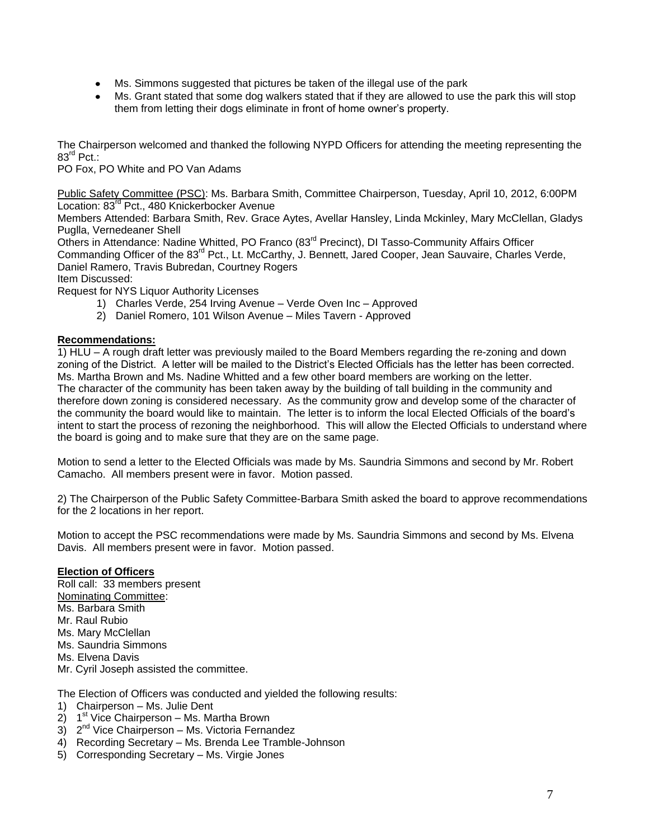- Ms. Simmons suggested that pictures be taken of the illegal use of the park
- Ms. Grant stated that some dog walkers stated that if they are allowed to use the park this will stop them from letting their dogs eliminate in front of home owner's property.

The Chairperson welcomed and thanked the following NYPD Officers for attending the meeting representing the 83<sup>rd</sup> Pct.:

PO Fox, PO White and PO Van Adams

Public Safety Committee (PSC): Ms. Barbara Smith, Committee Chairperson, Tuesday, April 10, 2012, 6:00PM Location: 83<sup>rd</sup> Pct., 480 Knickerbocker Avenue

Members Attended: Barbara Smith, Rev. Grace Aytes, Avellar Hansley, Linda Mckinley, Mary McClellan, Gladys Puglla, Vernedeaner Shell

Others in Attendance: Nadine Whitted, PO Franco (83<sup>rd</sup> Precinct), DI Tasso-Community Affairs Officer Commanding Officer of the 83<sup>rd</sup> Pct., Lt. McCarthy, J. Bennett, Jared Cooper, Jean Sauvaire, Charles Verde, Daniel Ramero, Travis Bubredan, Courtney Rogers Item Discussed:

Request for NYS Liquor Authority Licenses

- 1) Charles Verde, 254 Irving Avenue Verde Oven Inc Approved
- 2) Daniel Romero, 101 Wilson Avenue Miles Tavern Approved

# **Recommendations:**

1) HLU – A rough draft letter was previously mailed to the Board Members regarding the re-zoning and down zoning of the District. A letter will be mailed to the District's Elected Officials has the letter has been corrected. Ms. Martha Brown and Ms. Nadine Whitted and a few other board members are working on the letter. The character of the community has been taken away by the building of tall building in the community and therefore down zoning is considered necessary. As the community grow and develop some of the character of the community the board would like to maintain. The letter is to inform the local Elected Officials of the board's intent to start the process of rezoning the neighborhood. This will allow the Elected Officials to understand where the board is going and to make sure that they are on the same page.

Motion to send a letter to the Elected Officials was made by Ms. Saundria Simmons and second by Mr. Robert Camacho. All members present were in favor. Motion passed.

2) The Chairperson of the Public Safety Committee-Barbara Smith asked the board to approve recommendations for the 2 locations in her report.

Motion to accept the PSC recommendations were made by Ms. Saundria Simmons and second by Ms. Elvena Davis. All members present were in favor. Motion passed.

# **Election of Officers**

Roll call: 33 members present Nominating Committee: Ms. Barbara Smith Mr. Raul Rubio Ms. Mary McClellan Ms. Saundria Simmons Ms. Elvena Davis Mr. Cyril Joseph assisted the committee. The Election of Officers was conducted and yielded the following results:

- 1) Chairperson Ms. Julie Dent
- 2) 1<sup>st</sup> Vice Chairperson Ms. Martha Brown
- 3) 2<sup>nd</sup> Vice Chairperson Ms. Victoria Fernandez
- 4) Recording Secretary Ms. Brenda Lee Tramble-Johnson
- 5) Corresponding Secretary Ms. Virgie Jones